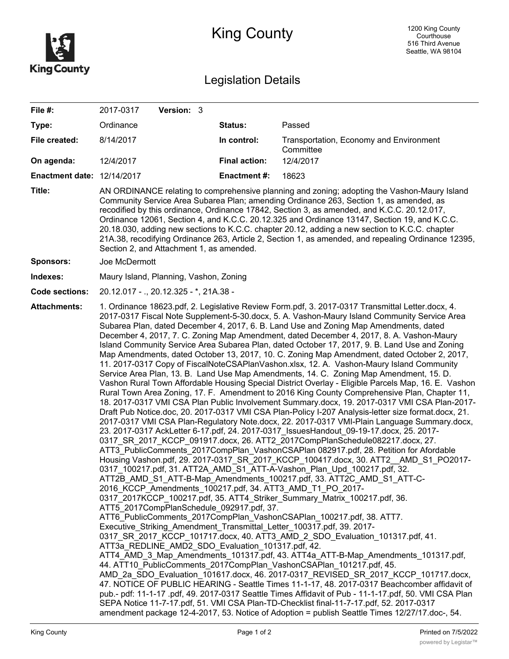

## King County

## Legislation Details

| File #:                           | 2017-0317<br>Version: 3                                                                                                                                                                                                                                                                                                                                                                                                                                                                                                                                                                                                                                                                                                                                                                                                                                                                                                                                                                                                                                                                                                                                                                                                                                                                                                                                                                                                                                                                                                                                                                                                                                                                                                                                                                                                                                                                                                                                                                                                                                                                                                                                                                                                                                                                                                                                                                                                                                                                                                                                                                                                                                                                                                                                                                                                                                                                                                                    |                      |                                                      |  |  |
|-----------------------------------|--------------------------------------------------------------------------------------------------------------------------------------------------------------------------------------------------------------------------------------------------------------------------------------------------------------------------------------------------------------------------------------------------------------------------------------------------------------------------------------------------------------------------------------------------------------------------------------------------------------------------------------------------------------------------------------------------------------------------------------------------------------------------------------------------------------------------------------------------------------------------------------------------------------------------------------------------------------------------------------------------------------------------------------------------------------------------------------------------------------------------------------------------------------------------------------------------------------------------------------------------------------------------------------------------------------------------------------------------------------------------------------------------------------------------------------------------------------------------------------------------------------------------------------------------------------------------------------------------------------------------------------------------------------------------------------------------------------------------------------------------------------------------------------------------------------------------------------------------------------------------------------------------------------------------------------------------------------------------------------------------------------------------------------------------------------------------------------------------------------------------------------------------------------------------------------------------------------------------------------------------------------------------------------------------------------------------------------------------------------------------------------------------------------------------------------------------------------------------------------------------------------------------------------------------------------------------------------------------------------------------------------------------------------------------------------------------------------------------------------------------------------------------------------------------------------------------------------------------------------------------------------------------------------------------------------------|----------------------|------------------------------------------------------|--|--|
| Type:                             | Ordinance                                                                                                                                                                                                                                                                                                                                                                                                                                                                                                                                                                                                                                                                                                                                                                                                                                                                                                                                                                                                                                                                                                                                                                                                                                                                                                                                                                                                                                                                                                                                                                                                                                                                                                                                                                                                                                                                                                                                                                                                                                                                                                                                                                                                                                                                                                                                                                                                                                                                                                                                                                                                                                                                                                                                                                                                                                                                                                                                  | Status:              | Passed                                               |  |  |
| File created:                     | 8/14/2017                                                                                                                                                                                                                                                                                                                                                                                                                                                                                                                                                                                                                                                                                                                                                                                                                                                                                                                                                                                                                                                                                                                                                                                                                                                                                                                                                                                                                                                                                                                                                                                                                                                                                                                                                                                                                                                                                                                                                                                                                                                                                                                                                                                                                                                                                                                                                                                                                                                                                                                                                                                                                                                                                                                                                                                                                                                                                                                                  | In control:          | Transportation, Economy and Environment<br>Committee |  |  |
| On agenda:                        | 12/4/2017                                                                                                                                                                                                                                                                                                                                                                                                                                                                                                                                                                                                                                                                                                                                                                                                                                                                                                                                                                                                                                                                                                                                                                                                                                                                                                                                                                                                                                                                                                                                                                                                                                                                                                                                                                                                                                                                                                                                                                                                                                                                                                                                                                                                                                                                                                                                                                                                                                                                                                                                                                                                                                                                                                                                                                                                                                                                                                                                  | <b>Final action:</b> | 12/4/2017                                            |  |  |
| <b>Enactment date: 12/14/2017</b> |                                                                                                                                                                                                                                                                                                                                                                                                                                                                                                                                                                                                                                                                                                                                                                                                                                                                                                                                                                                                                                                                                                                                                                                                                                                                                                                                                                                                                                                                                                                                                                                                                                                                                                                                                                                                                                                                                                                                                                                                                                                                                                                                                                                                                                                                                                                                                                                                                                                                                                                                                                                                                                                                                                                                                                                                                                                                                                                                            | <b>Enactment#:</b>   | 18623                                                |  |  |
| Title:                            | AN ORDINANCE relating to comprehensive planning and zoning; adopting the Vashon-Maury Island<br>Community Service Area Subarea Plan; amending Ordinance 263, Section 1, as amended, as<br>recodified by this ordinance, Ordinance 17842, Section 3, as amended, and K.C.C. 20.12.017,<br>Ordinance 12061, Section 4, and K.C.C. 20.12.325 and Ordinance 13147, Section 19, and K.C.C.<br>20.18.030, adding new sections to K.C.C. chapter 20.12, adding a new section to K.C.C. chapter<br>21A.38, recodifying Ordinance 263, Article 2, Section 1, as amended, and repealing Ordinance 12395,<br>Section 2, and Attachment 1, as amended.                                                                                                                                                                                                                                                                                                                                                                                                                                                                                                                                                                                                                                                                                                                                                                                                                                                                                                                                                                                                                                                                                                                                                                                                                                                                                                                                                                                                                                                                                                                                                                                                                                                                                                                                                                                                                                                                                                                                                                                                                                                                                                                                                                                                                                                                                                 |                      |                                                      |  |  |
| <b>Sponsors:</b>                  | Joe McDermott                                                                                                                                                                                                                                                                                                                                                                                                                                                                                                                                                                                                                                                                                                                                                                                                                                                                                                                                                                                                                                                                                                                                                                                                                                                                                                                                                                                                                                                                                                                                                                                                                                                                                                                                                                                                                                                                                                                                                                                                                                                                                                                                                                                                                                                                                                                                                                                                                                                                                                                                                                                                                                                                                                                                                                                                                                                                                                                              |                      |                                                      |  |  |
| Indexes:                          | Maury Island, Planning, Vashon, Zoning                                                                                                                                                                                                                                                                                                                                                                                                                                                                                                                                                                                                                                                                                                                                                                                                                                                                                                                                                                                                                                                                                                                                                                                                                                                                                                                                                                                                                                                                                                                                                                                                                                                                                                                                                                                                                                                                                                                                                                                                                                                                                                                                                                                                                                                                                                                                                                                                                                                                                                                                                                                                                                                                                                                                                                                                                                                                                                     |                      |                                                      |  |  |
| <b>Code sections:</b>             | 20.12.017 - ., 20.12.325 - *, 21A.38 -                                                                                                                                                                                                                                                                                                                                                                                                                                                                                                                                                                                                                                                                                                                                                                                                                                                                                                                                                                                                                                                                                                                                                                                                                                                                                                                                                                                                                                                                                                                                                                                                                                                                                                                                                                                                                                                                                                                                                                                                                                                                                                                                                                                                                                                                                                                                                                                                                                                                                                                                                                                                                                                                                                                                                                                                                                                                                                     |                      |                                                      |  |  |
| <b>Attachments:</b>               | 1. Ordinance 18623.pdf, 2. Legislative Review Form.pdf, 3. 2017-0317 Transmittal Letter.docx, 4.<br>2017-0317 Fiscal Note Supplement-5-30.docx, 5. A. Vashon-Maury Island Community Service Area<br>Subarea Plan, dated December 4, 2017, 6. B. Land Use and Zoning Map Amendments, dated<br>December 4, 2017, 7. C. Zoning Map Amendment, dated December 4, 2017, 8. A. Vashon-Maury<br>Island Community Service Area Subarea Plan, dated October 17, 2017, 9. B. Land Use and Zoning<br>Map Amendments, dated October 13, 2017, 10. C. Zoning Map Amendment, dated October 2, 2017,<br>11. 2017-0317 Copy of FiscalNoteCSAPlanVashon.xlsx, 12. A. Vashon-Maury Island Community<br>Service Area Plan, 13. B. Land Use Map Amendments, 14. C. Zoning Map Amendment, 15. D.<br>Vashon Rural Town Affordable Housing Special District Overlay - Eligible Parcels Map, 16. E. Vashon<br>Rural Town Area Zoning, 17. F. Amendment to 2016 King County Comprehensive Plan, Chapter 11,<br>18. 2017-0317 VMI CSA Plan Public Involvement Summary.docx, 19. 2017-0317 VMI CSA Plan-2017-<br>Draft Pub Notice.doc, 20. 2017-0317 VMI CSA Plan-Policy I-207 Analysis-letter size format.docx, 21.<br>2017-0317 VMI CSA Plan-Regulatory Note.docx, 22. 2017-0317 VMI-Plain Language Summary.docx,<br>23. 2017-0317 AckLetter 6-17.pdf, 24. 2017-0317_IssuesHandout_09-19-17.docx, 25. 2017-<br>0317 SR 2017 KCCP 091917.docx, 26. ATT2 2017CompPlanSchedule082217.docx, 27.<br>ATT3 PublicComments 2017CompPlan VashonCSAPlan 082917.pdf, 28. Petition for Afordable<br>Housing Vashon.pdf, 29. 2017-0317 SR_2017 KCCP_100417.docx, 30. ATT2 AMD S1 PO2017-<br>0317 100217.pdf, 31. ATT2A AMD S1 ATT-A-Vashon Plan Upd 100217.pdf, 32.<br>ATT2B_AMD_S1_ATT-B-Map_Amendments_100217.pdf, 33. ATT2C_AMD_S1_ATT-C-<br>2016 KCCP Amendments 100217.pdf, 34. ATT3 AMD T1 PO 2017-<br>0317 2017KCCP 100217.pdf, 35. ATT4 Striker Summary Matrix 100217.pdf, 36.<br>ATT5 2017CompPlanSchedule 092917.pdf, 37.<br>ATT6 PublicComments 2017CompPlan VashonCSAPlan 100217.pdf, 38. ATT7.<br>Executive_Striking_Amendment_Transmittal_Letter_100317.pdf, 39. 2017-<br>0317 SR 2017 KCCP 101717.docx, 40. ATT3 AMD 2 SDO Evaluation 101317.pdf, 41.<br>ATT3a_REDLINE_AMD2_SDO_Evaluation_101317.pdf, 42.<br>ATT4 AMD 3 Map Amendments 101317.pdf, 43. ATT4a ATT-B-Map Amendments 101317.pdf,<br>44. ATT10 PublicComments 2017CompPlan VashonCSAPlan 101217.pdf, 45.<br>AMD 2a SDO Evaluation 101617.docx, 46. 2017-0317 REVISED SR 2017 KCCP 101717.docx,<br>47. NOTICE OF PUBLIC HEARING - Seattle Times 11-1-17, 48. 2017-0317 Beachcomber affidavit of<br>pub.- pdf: 11-1-17 .pdf, 49. 2017-0317 Seattle Times Affidavit of Pub - 11-1-17.pdf, 50. VMI CSA Plan<br>SEPA Notice 11-7-17.pdf, 51. VMI CSA Plan-TD-Checklist final-11-7-17.pdf, 52. 2017-0317<br>amendment package 12-4-2017, 53. Notice of Adoption = publish Seattle Times 12/27/17.doc-, 54. |                      |                                                      |  |  |